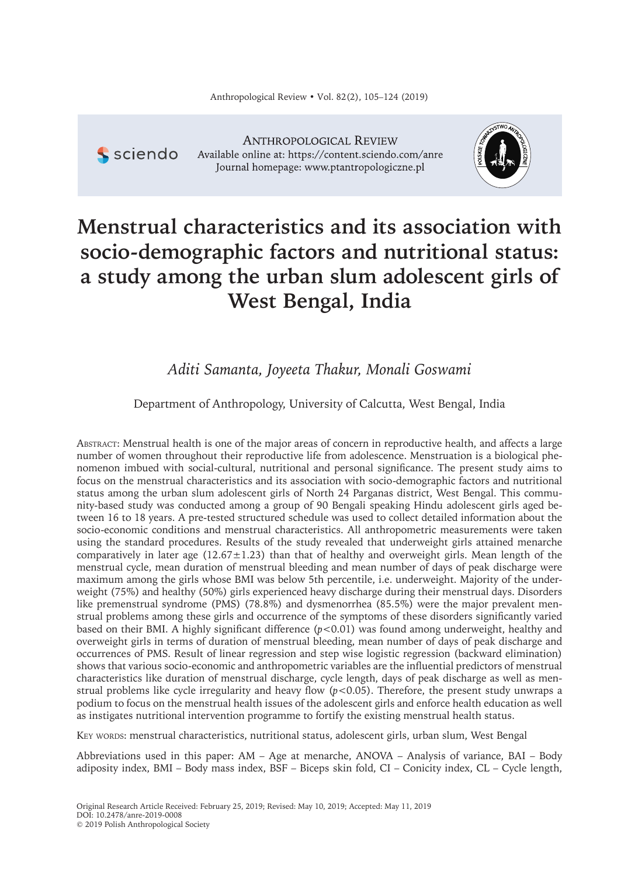

**ANTHROPOLOGICAL REVIEW** Available online at: https://content.sciendo.com/anre Journal homepage: www.ptantropologiczne.pl



# **Menstrual characteristics and its association with socio-demographic factors and nutritional status: a study among the urban slum adolescent girls of West Bengal, India**

*Aditi Samanta, Joyeeta Thakur, Monali Goswami*

Department of Anthropology, University of Calcutta, West Bengal, India

ABSTRACT: Menstrual health is one of the major areas of concern in reproductive health, and affects a large number of women throughout their reproductive life from adolescence. Menstruation is a biological phenomenon imbued with social-cultural, nutritional and personal significance. The present study aims to focus on the menstrual characteristics and its association with socio-demographic factors and nutritional status among the urban slum adolescent girls of North 24 Parganas district, West Bengal. This community-based study was conducted among a group of 90 Bengali speaking Hindu adolescent girls aged between 16 to 18 years. A pre-tested structured schedule was used to collect detailed information about the socio-economic conditions and menstrual characteristics. All anthropometric measurements were taken using the standard procedures. Results of the study revealed that underweight girls attained menarche comparatively in later age (12.67±1.23) than that of healthy and overweight girls. Mean length of the menstrual cycle, mean duration of menstrual bleeding and mean number of days of peak discharge were maximum among the girls whose BMI was below 5th percentile, i.e. underweight. Majority of the underweight (75%) and healthy (50%) girls experienced heavy discharge during their menstrual days. Disorders like premenstrual syndrome (PMS) (78.8%) and dysmenorrhea (85.5%) were the major prevalent menstrual problems among these girls and occurrence of the symptoms of these disorders significantly varied based on their BMI. A highly significant difference (*p<*0.01) was found among underweight, healthy and overweight girls in terms of duration of menstrual bleeding, mean number of days of peak discharge and occurrences of PMS. Result of linear regression and step wise logistic regression (backward elimination) shows that various socio-economic and anthropometric variables are the influential predictors of menstrual characteristics like duration of menstrual discharge, cycle length, days of peak discharge as well as menstrual problems like cycle irregularity and heavy flow (*p<*0.05). Therefore, the present study unwraps a podium to focus on the menstrual health issues of the adolescent girls and enforce health education as well as instigates nutritional intervention programme to fortify the existing menstrual health status.

KEY WORDS: menstrual characteristics, nutritional status, adolescent girls, urban slum, West Bengal

Abbreviations used in this paper: AM – Age at menarche, ANOVA – Analysis of variance, BAI – Body adiposity index, BMI – Body mass index, BSF – Biceps skin fold, CI – Conicity index, CL – Cycle length,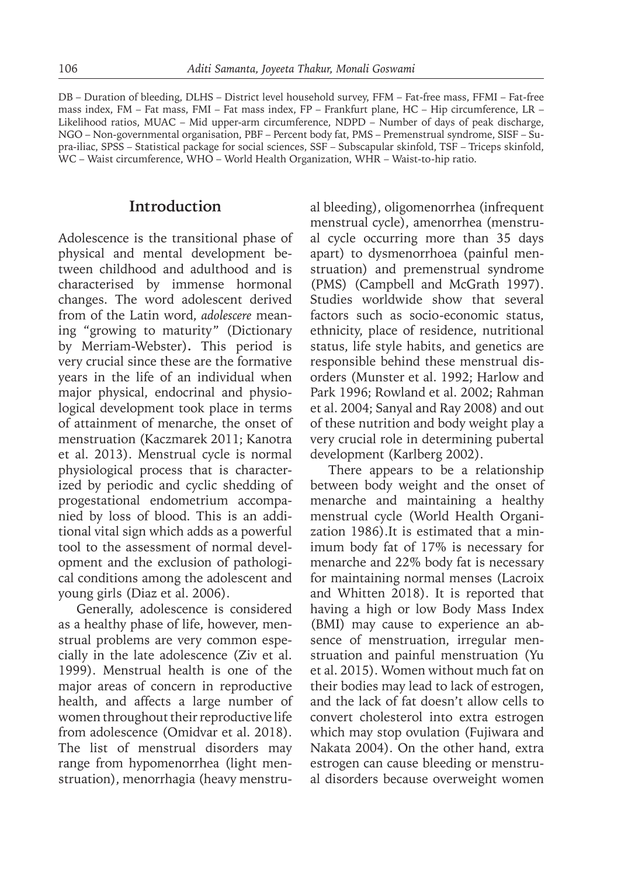DB – Duration of bleeding, DLHS – District level household survey, FFM – Fat-free mass, FFMI – Fat-free mass index, FM – Fat mass, FMI – Fat mass index, FP – Frankfurt plane, HC – Hip circumference, LR – Likelihood ratios, MUAC – Mid upper-arm circumference, NDPD – Number of days of peak discharge, NGO – Non-governmental organisation, PBF – Percent body fat, PMS – Premenstrual syndrome, SISF – Supra-iliac, SPSS – Statistical package for social sciences, SSF – Subscapular skinfold, TSF – Triceps skinfold, WC – Waist circumference, WHO – World Health Organization, WHR – Waist-to-hip ratio.

#### **Introduction**

Adolescence is the transitional phase of physical and mental development between childhood and adulthood and is characterised by immense hormonal changes. The word adolescent derived from of the Latin word, *adolescere* meaning "growing to maturity" (Dictionary by Merriam-Webster)**.** This period is very crucial since these are the formative years in the life of an individual when major physical, endocrinal and physiological development took place in terms of attainment of menarche, the onset of menstruation (Kaczmarek 2011; Kanotra et al. 2013). Menstrual cycle is normal physiological process that is characterized by periodic and cyclic shedding of progestational endometrium accompanied by loss of blood. This is an additional vital sign which adds as a powerful tool to the assessment of normal development and the exclusion of pathological conditions among the adolescent and young girls (Diaz et al. 2006).

Generally, adolescence is considered as a healthy phase of life, however, menstrual problems are very common especially in the late adolescence (Ziv et al. 1999). Menstrual health is one of the major areas of concern in reproductive health, and affects a large number of women throughout their reproductive life from adolescence (Omidvar et al. 2018). The list of menstrual disorders may range from hypomenorrhea (light menstruation), menorrhagia (heavy menstrual bleeding), oligomenorrhea (infrequent menstrual cycle), amenorrhea (menstrual cycle occurring more than 35 days apart) to dysmenorrhoea (painful menstruation) and premenstrual syndrome (PMS) (Campbell and McGrath 1997). Studies worldwide show that several factors such as socio-economic status, ethnicity, place of residence, nutritional status, life style habits, and genetics are responsible behind these menstrual disorders (Munster et al. 1992; Harlow and Park 1996; Rowland et al. 2002; Rahman et al. 2004; Sanyal and Ray 2008) and out of these nutrition and body weight play a very crucial role in determining pubertal development (Karlberg 2002).

There appears to be a relationship between body weight and the onset of menarche and maintaining a healthy menstrual cycle (World Health Organization 1986).It is estimated that a minimum body fat of 17% is necessary for menarche and 22% body fat is necessary for maintaining normal menses (Lacroix and Whitten 2018). It is reported that having a high or low Body Mass Index (BMI) may cause to experience an absence of menstruation, irregular menstruation and painful menstruation (Yu et al. 2015). Women without much fat on their bodies may lead to lack of estrogen, and the lack of fat doesn't allow cells to convert cholesterol into extra estrogen which may stop ovulation (Fujiwara and Nakata 2004). On the other hand, extra estrogen can cause bleeding or menstrual disorders because overweight women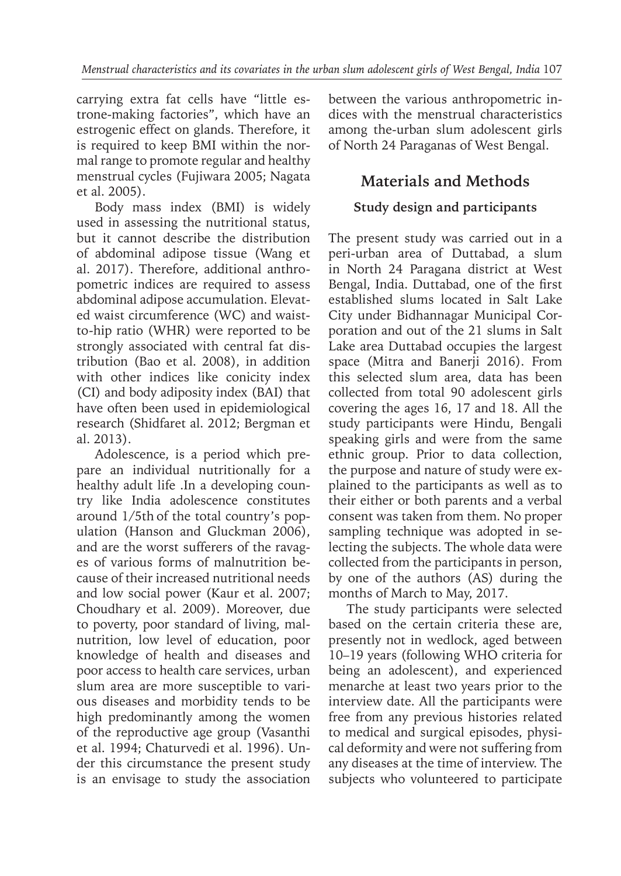carrying extra fat cells have "little estrone-making factories", which have an estrogenic effect on glands. Therefore, it is required to keep BMI within the normal range to promote regular and healthy menstrual cycles (Fujiwara 2005; Nagata et al. 2005).

Body mass index (BMI) is widely used in assessing the nutritional status, but it cannot describe the distribution of abdominal adipose tissue (Wang et al. 2017). Therefore, additional anthropometric indices are required to assess abdominal adipose accumulation. Elevated waist circumference (WC) and waistto-hip ratio (WHR) were reported to be strongly associated with central fat distribution (Bao et al. 2008), in addition with other indices like conicity index (CI) and body adiposity index (BAI) that have often been used in epidemiological research (Shidfaret al. 2012; Bergman et al. 2013).

Adolescence, is a period which prepare an individual nutritionally for a healthy adult life . In a developing country like India adolescence constitutes around 1/5th of the total country's population (Hanson and Gluckman 2006), and are the worst sufferers of the ravages of various forms of malnutrition because of their increased nutritional needs and low social power (Kaur et al. 2007; Choudhary et al. 2009). Moreover, due to poverty, poor standard of living, malnutrition, low level of education, poor knowledge of health and diseases and poor access to health care services, urban slum area are more susceptible to various diseases and morbidity tends to be high predominantly among the women of the reproductive age group (Vasanthi et al. 1994; Chaturvedi et al. 1996). Under this circumstance the present study is an envisage to study the association between the various anthropometric indices with the menstrual characteristics among the-urban slum adolescent girls of North 24 Paraganas of West Bengal.

## **Materials and Methods**

## **Study design and participants**

The present study was carried out in a peri-urban area of Duttabad, a slum in North 24 Paragana district at West Bengal, India. Duttabad, one of the first established slums located in Salt Lake City under Bidhannagar Municipal Corporation and out of the 21 slums in Salt Lake area Duttabad occupies the largest space (Mitra and Banerji 2016). From this selected slum area, data has been collected from total 90 adolescent girls covering the ages 16, 17 and 18. All the study participants were Hindu, Bengali speaking girls and were from the same ethnic group. Prior to data collection, the purpose and nature of study were explained to the participants as well as to their either or both parents and a verbal consent was taken from them. No proper sampling technique was adopted in selecting the subjects. The whole data were collected from the participants in person, by one of the authors (AS) during the months of March to May, 2017.

The study participants were selected based on the certain criteria these are, presently not in wedlock, aged between 10–19 years (following WHO criteria for being an adolescent), and experienced menarche at least two years prior to the interview date. All the participants were free from any previous histories related to medical and surgical episodes, physical deformity and were not suffering from any diseases at the time of interview. The subjects who volunteered to participate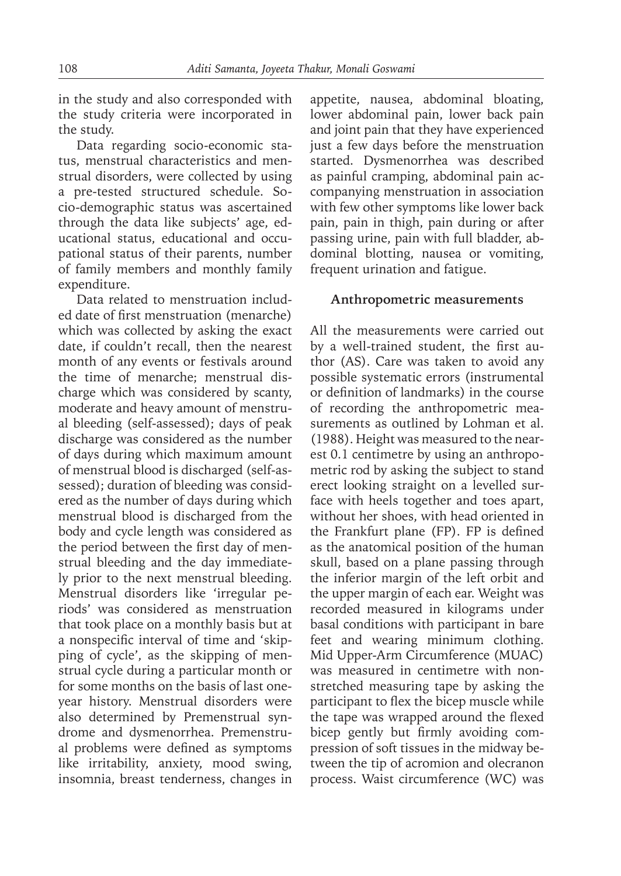in the study and also corresponded with the study criteria were incorporated in the study.

Data regarding socio-economic status, menstrual characteristics and menstrual disorders, were collected by using a pre-tested structured schedule. Socio-demographic status was ascertained through the data like subjects' age, educational status, educational and occupational status of their parents, number of family members and monthly family expenditure.

Data related to menstruation included date of first menstruation (menarche) which was collected by asking the exact date, if couldn't recall, then the nearest month of any events or festivals around the time of menarche; menstrual discharge which was considered by scanty, moderate and heavy amount of menstrual bleeding (self-assessed); days of peak discharge was considered as the number of days during which maximum amount of menstrual blood is discharged (self-assessed); duration of bleeding was considered as the number of days during which menstrual blood is discharged from the body and cycle length was considered as the period between the first day of menstrual bleeding and the day immediately prior to the next menstrual bleeding. Menstrual disorders like 'irregular periods' was considered as menstruation that took place on a monthly basis but at a nonspecific interval of time and 'skipping of cycle', as the skipping of menstrual cycle during a particular month or for some months on the basis of last oneyear history. Menstrual disorders were also determined by Premenstrual syndrome and dysmenorrhea. Premenstrual problems were defined as symptoms like irritability, anxiety, mood swing, insomnia, breast tenderness, changes in appetite, nausea, abdominal bloating, lower abdominal pain, lower back pain and joint pain that they have experienced just a few days before the menstruation started. Dysmenorrhea was described as painful cramping, abdominal pain accompanying menstruation in association with few other symptoms like lower back pain, pain in thigh, pain during or after passing urine, pain with full bladder, abdominal blotting, nausea or vomiting, frequent urination and fatigue.

#### **Anthropometric measurements**

All the measurements were carried out by a well-trained student, the first author (AS). Care was taken to avoid any possible systematic errors (instrumental or definition of landmarks) in the course of recording the anthropometric measurements as outlined by Lohman et al. (1988). Height was measured to the nearest 0.1 centimetre by using an anthropometric rod by asking the subject to stand erect looking straight on a levelled surface with heels together and toes apart, without her shoes, with head oriented in the Frankfurt plane (FP). FP is defined as the anatomical position of the human skull, based on a plane passing through the inferior margin of the left orbit and the upper margin of each ear. Weight was recorded measured in kilograms under basal conditions with participant in bare feet and wearing minimum clothing. Mid Upper-Arm Circumference (MUAC) was measured in centimetre with nonstretched measuring tape by asking the participant to flex the bicep muscle while the tape was wrapped around the flexed bicep gently but firmly avoiding compression of soft tissues in the midway between the tip of acromion and olecranon process. Waist circumference (WC) was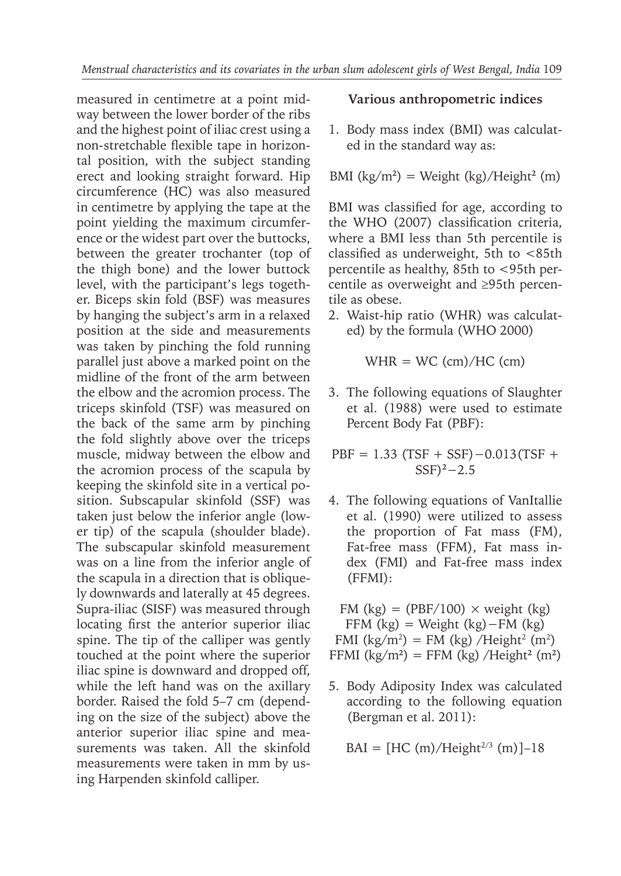measured in centimetre at a point midway between the lower border of the ribs and the highest point of iliac crest using a non-stretchable flexible tape in horizontal position, with the subject standing erect and looking straight forward. Hip circumference (HC) was also measured in centimetre by applying the tape at the point yielding the maximum circumference or the widest part over the buttocks, between the greater trochanter (top of the thigh bone) and the lower buttock level, with the participant's legs together. Biceps skin fold (BSF) was measures by hanging the subject's arm in a relaxed position at the side and measurements was taken by pinching the fold running parallel just above a marked point on the midline of the front of the arm between the elbow and the acromion process. The triceps skinfold (TSF) was measured on the back of the same arm by pinching the fold slightly above over the triceps muscle, midway between the elbow and the acromion process of the scapula by keeping the skinfold site in a vertical position. Subscapular skinfold (SSF) was taken just below the inferior angle (lower tip) of the scapula (shoulder blade). The subscapular skinfold measurement was on a line from the inferior angle of the scapula in a direction that is obliquely downwards and laterally at 45 degrees. Supra-iliac (SISF) was measured through locating first the anterior superior iliac spine. The tip of the calliper was gently touched at the point where the superior iliac spine is downward and dropped off, while the left hand was on the axillary border. Raised the fold 5–7 cm (depending on the size of the subject) above the anterior superior iliac spine and measurements was taken. All the skinfold measurements were taken in mm by using Harpenden skinfold calliper.

#### **Various anthropometric indices**

1. Body mass index (BMI) was calculated in the standard way as:

BMI (kg/m**<sup>2</sup>** ) = Weight (kg)/Height**<sup>2</sup>** (m)

BMI was classified for age, according to the WHO (2007) classification criteria, where a BMI less than 5th percentile is classified as underweight,  $5th$  to  $\lt 85th$ percentile as healthy, 85th to <95th percentile as overweight and ≥95th percentile as obese.

2. Waist-hip ratio (WHR) was calculated) by the formula (WHO 2000)

 $WHR = WC$  (cm)/HC (cm)

3. The following equations of Slaughter et al. (1988) were used to estimate Percent Body Fat (PBF):

PBF = 1.33 (TSF + SSF)−0.013(TSF + SSF)**<sup>2</sup>**−2.5

4. The following equations of VanItallie et al. (1990) were utilized to assess the proportion of Fat mass (FM), Fat-free mass (FFM), Fat mass index (FMI) and Fat-free mass index (FFMI):

FM (kg) = (PBF/100)  $\times$  weight (kg) FFM  $(kg)$  = Weight  $(kg)$  – FM  $(kg)$ FMI ( $\text{kg/m}^2$ ) = FM ( $\text{kg}$ ) /Height<sup>2</sup> (m<sup>2</sup>) FFMI  $\frac{\text{kg}}{m^2}$  = FFM  $\frac{\text{kg}}{\text{kg}}$  /Height<sup>2</sup> (m<sup>2</sup>)

5. Body Adiposity Index was calculated according to the following equation (Bergman et al. 2011):

$$
BAI = [HC (m)/Height^{2/3} (m)]-18
$$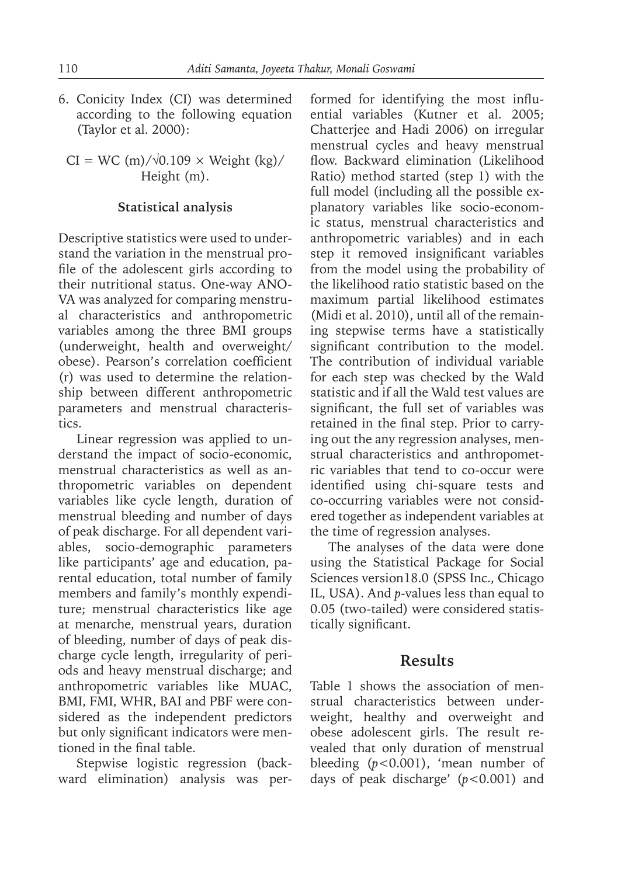6. Conicity Index (CI) was determined according to the following equation (Taylor et al. 2000):

 $CI = WC$  (m)/ $\sqrt{0.109} \times Weight$  (kg)/ Height (m).

#### **Statistical analysis**

Descriptive statistics were used to understand the variation in the menstrual profile of the adolescent girls according to their nutritional status. One-way ANO-VA was analyzed for comparing menstrual characteristics and anthropometric variables among the three BMI groups (underweight, health and overweight/ obese). Pearson's correlation coefficient (r) was used to determine the relationship between different anthropometric parameters and menstrual characteristics.

Linear regression was applied to understand the impact of socio-economic, menstrual characteristics as well as anthropometric variables on dependent variables like cycle length, duration of menstrual bleeding and number of days of peak discharge. For all dependent variables, socio-demographic parameters like participants' age and education, parental education, total number of family members and family's monthly expenditure; menstrual characteristics like age at menarche, menstrual years, duration of bleeding, number of days of peak discharge cycle length, irregularity of periods and heavy menstrual discharge; and anthropometric variables like MUAC, BMI, FMI, WHR, BAI and PBF were considered as the independent predictors but only significant indicators were mentioned in the final table.

Stepwise logistic regression (backward elimination) analysis was performed for identifying the most influential variables (Kutner et al. 2005; Chatterjee and Hadi 2006) on irregular menstrual cycles and heavy menstrual flow. Backward elimination (Likelihood Ratio) method started (step 1) with the full model (including all the possible explanatory variables like socio-economic status, menstrual characteristics and anthropometric variables) and in each step it removed insignificant variables from the model using the probability of the likelihood ratio statistic based on the maximum partial likelihood estimates (Midi et al. 2010), until all of the remaining stepwise terms have a statistically significant contribution to the model. The contribution of individual variable for each step was checked by the Wald statistic and if all the Wald test values are significant, the full set of variables was retained in the final step. Prior to carrying out the any regression analyses, menstrual characteristics and anthropometric variables that tend to co-occur were identified using chi-square tests and co-occurring variables were not considered together as independent variables at the time of regression analyses.

The analyses of the data were done using the Statistical Package for Social Sciences version18.0 (SPSS Inc., Chicago IL, USA). And *p*-values less than equal to 0.05 (two-tailed) were considered statistically significant.

## **Results**

Table 1 shows the association of menstrual characteristics between underweight, healthy and overweight and obese adolescent girls. The result revealed that only duration of menstrual bleeding (*p<*0.001), 'mean number of days of peak discharge' (*p<*0.001) and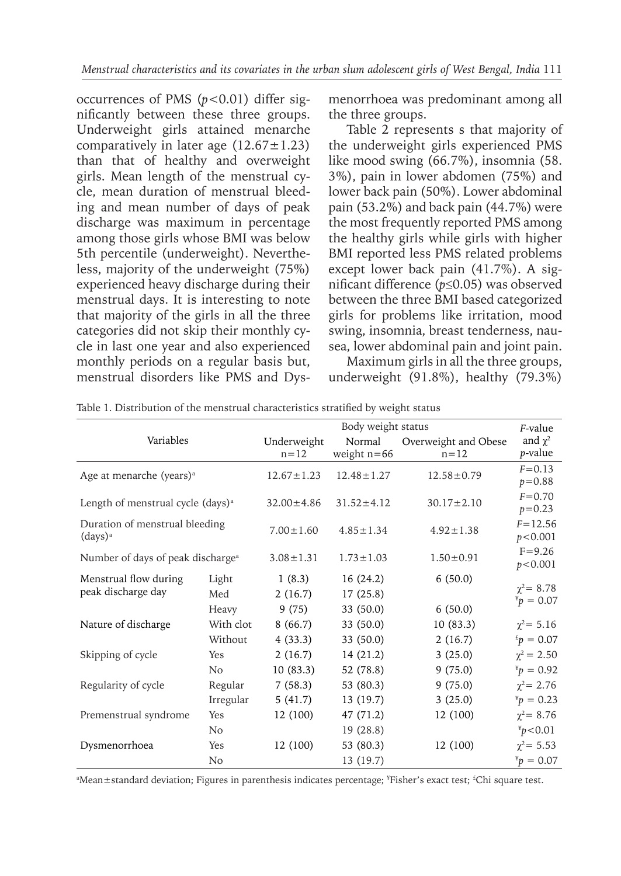occurrences of PMS (*p<*0.01) differ significantly between these three groups. Underweight girls attained menarche comparatively in later age  $(12.67 \pm 1.23)$ than that of healthy and overweight girls. Mean length of the menstrual cycle, mean duration of menstrual bleeding and mean number of days of peak discharge was maximum in percentage among those girls whose BMI was below 5th percentile (underweight). Nevertheless, majority of the underweight (75%) experienced heavy discharge during their menstrual days. It is interesting to note that majority of the girls in all the three categories did not skip their monthly cycle in last one year and also experienced monthly periods on a regular basis but, menstrual disorders like PMS and Dysmenorrhoea was predominant among all the three groups.

Table 2 represents s that majority of the underweight girls experienced PMS like mood swing (66.7%), insomnia (58. 3%), pain in lower abdomen (75%) and lower back pain (50%). Lower abdominal pain (53.2%) and back pain (44.7%) were the most frequently reported PMS among the healthy girls while girls with higher BMI reported less PMS related problems except lower back pain (41.7%). A significant difference (*p*≤0.05) was observed between the three BMI based categorized girls for problems like irritation, mood swing, insomnia, breast tenderness, nausea, lower abdominal pain and joint pain.

Maximum girls in all the three groups, underweight (91.8%), healthy (79.3%)

|                                               |                  | F-value                 |                         |                                  |                                 |  |
|-----------------------------------------------|------------------|-------------------------|-------------------------|----------------------------------|---------------------------------|--|
| Variables                                     |                  | Underweight<br>$n = 12$ | Normal<br>weight $n=66$ | Overweight and Obese<br>$n = 12$ | and $\chi^2$<br>p-value         |  |
| Age at menarche (years) <sup>a</sup>          |                  | $12.67 \pm 1.23$        | $12.48 \pm 1.27$        | $12.58 \pm 0.79$                 | $F = 0.13$<br>$p = 0.88$        |  |
| Length of menstrual cycle (days) <sup>a</sup> | $32.00 \pm 4.86$ | $31.52 \pm 4.12$        | $30.17 \pm 2.10$        | $F = 0.70$<br>$p = 0.23$         |                                 |  |
| Duration of menstrual bleeding<br>$(days)^a$  |                  | $7.00 \pm 1.60$         | $4.85 \pm 1.34$         | $4.92 \pm 1.38$                  | $F = 12.56$<br>p < 0.001        |  |
| Number of days of peak discharge <sup>a</sup> |                  | $3.08 \pm 1.31$         | $1.73 \pm 1.03$         | $1.50 \pm 0.91$                  | $F = 9.26$<br>p < 0.001         |  |
| Menstrual flow during                         | Light            | 1(8.3)                  | 16(24.2)                | 6(50.0)                          |                                 |  |
| peak discharge day                            | Med              | 2(16.7)                 | 17(25.8)                |                                  | $\chi^2$ = 8.78<br>$x_p = 0.07$ |  |
|                                               | Heavy            | 9(75)                   | 33 (50.0)               | 6(50.0)                          |                                 |  |
| Nature of discharge                           | With clot        | 8(66.7)                 | 33 (50.0)               | 10(83.3)                         | $\chi^2$ = 5.16                 |  |
|                                               | Without          | 4(33.3)                 | 33 (50.0)               | 2(16.7)                          | $p = 0.07$                      |  |
| Skipping of cycle                             | Yes              | 2(16.7)                 | 14 (21.2)               | 3(25.0)                          | $\chi^2$ = 2.50                 |  |
|                                               | No               | 10(83.3)                | 52 (78.8)               | 9(75.0)                          | $\binom{4}{1}$ = 0.92           |  |
| Regularity of cycle                           | Regular          | 7(58.3)                 | 53 (80.3)               | 9(75.0)                          | $\chi^2$ = 2.76                 |  |
|                                               | Irregular        | 5(41.7)                 | 13 (19.7)               | 3(25.0)                          | $\binom{4}{1}$ = 0.23           |  |
| Premenstrual syndrome                         | Yes              | 12 (100)                | 47 (71.2)               | 12 (100)                         | $\chi^2$ = 8.76                 |  |
|                                               | No               |                         | 19 (28.8)               |                                  | $\frac{y}{f}$ > 0.01            |  |
| Dysmenorrhoea                                 | Yes              | 12 (100)                | 53 (80.3)               | 12 (100)                         | $\chi^2$ = 5.53                 |  |
|                                               | N <sub>o</sub>   |                         | 13 (19.7)               |                                  | $\frac{v}{f}p = 0.07$           |  |

Table 1. Distribution of the menstrual characteristics stratified by weight status

<sup>a</sup>Mean±standard deviation; Figures in parenthesis indicates percentage; <sup>\*</sup>Fisher's exact test; <sup>£</sup>Chi square test.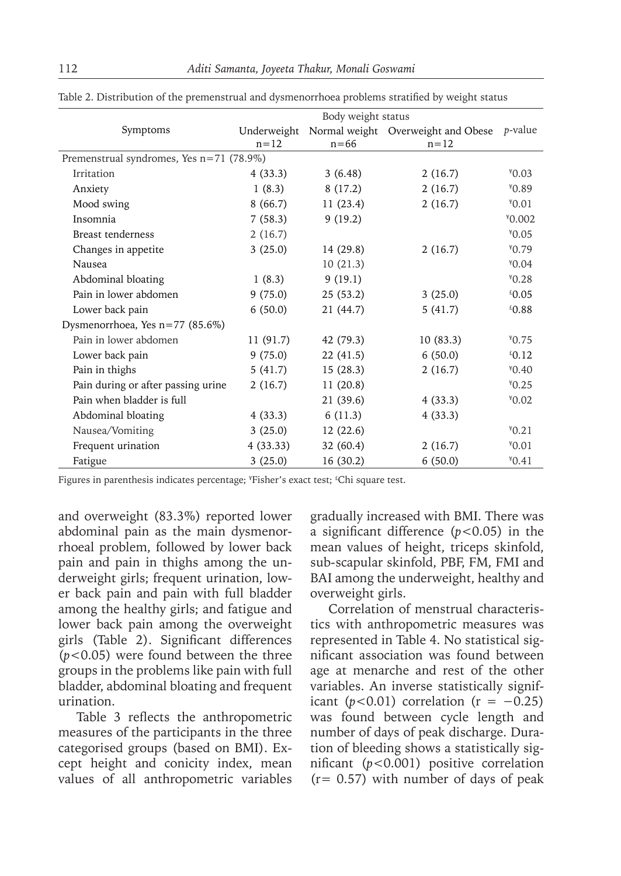|                                          | Body weight status |           |                                                |                 |  |  |  |
|------------------------------------------|--------------------|-----------|------------------------------------------------|-----------------|--|--|--|
| Symptoms                                 |                    |           | Underweight Normal weight Overweight and Obese | <i>p</i> -value |  |  |  |
|                                          | $n=12$             | $n = 66$  | $n = 12$                                       |                 |  |  |  |
| Premenstrual syndromes, Yes n=71 (78.9%) |                    |           |                                                |                 |  |  |  |
| Irritation                               | 4(33.3)            | 3(6.48)   | 2(16.7)                                        | $*0.03$         |  |  |  |
| Anxiety                                  | 1(8.3)             | 8(17.2)   | 2(16.7)                                        | $*0.89$         |  |  |  |
| Mood swing                               | 8(66.7)            | 11(23.4)  | 2(16.7)                                        | $*0.01$         |  |  |  |
| Insomnia                                 | 7(58.3)            | 9(19.2)   |                                                | $*0.002$        |  |  |  |
| <b>Breast tenderness</b>                 | 2(16.7)            |           |                                                | $*0.05$         |  |  |  |
| Changes in appetite                      | 3(25.0)            | 14 (29.8) | 2(16.7)                                        | $*0.79$         |  |  |  |
| Nausea                                   |                    | 10(21.3)  |                                                | $*0.04$         |  |  |  |
| Abdominal bloating                       | 1(8.3)             | 9(19.1)   |                                                | $*0.28$         |  |  |  |
| Pain in lower abdomen                    | 9(75.0)            | 25(53.2)  | 3(25.0)                                        | £0.05           |  |  |  |
| Lower back pain                          | 6(50.0)            | 21 (44.7) | 5(41.7)                                        | £0.88           |  |  |  |
| Dysmenorrhoea, Yes $n=77$ (85.6%)        |                    |           |                                                |                 |  |  |  |
| Pain in lower abdomen                    | 11(91.7)           | 42 (79.3) | 10(83.3)                                       | $*0.75$         |  |  |  |
| Lower back pain                          | 9(75.0)            | 22(41.5)  | 6(50.0)                                        | 26.12           |  |  |  |
| Pain in thighs                           | 5(41.7)            | 15(28.3)  | 2(16.7)                                        | $*0.40$         |  |  |  |
| Pain during or after passing urine       | 2(16.7)            | 11(20.8)  |                                                | $*0.25$         |  |  |  |
| Pain when bladder is full                |                    | 21(39.6)  | 4(33.3)                                        | $*0.02$         |  |  |  |
| Abdominal bloating                       | 4(33.3)            | 6(11.3)   | 4(33.3)                                        |                 |  |  |  |
| Nausea/Vomiting                          | 3(25.0)            | 12(22.6)  |                                                | $*0.21$         |  |  |  |
| Frequent urination                       | 4(33.33)           | 32(60.4)  | 2(16.7)                                        | $*0.01$         |  |  |  |
| Fatigue                                  | 3(25.0)            | 16(30.2)  | 6(50.0)                                        | $*0.41$         |  |  |  |

Table 2. Distribution of the premenstrual and dysmenorrhoea problems stratified by weight status

Figures in parenthesis indicates percentage; 'Fisher's exact test; <sup>£</sup>Chi square test.

and overweight (83.3%) reported lower abdominal pain as the main dysmenorrhoeal problem, followed by lower back pain and pain in thighs among the underweight girls; frequent urination, lower back pain and pain with full bladder among the healthy girls; and fatigue and lower back pain among the overweight girls (Table 2). Significant differences (*p<*0.05) were found between the three groups in the problems like pain with full bladder, abdominal bloating and frequent urination.

Table 3 reflects the anthropometric measures of the participants in the three categorised groups (based on BMI). Except height and conicity index, mean values of all anthropometric variables gradually increased with BMI. There was a significant difference (*p<*0.05) in the mean values of height, triceps skinfold, sub-scapular skinfold, PBF, FM, FMI and BAI among the underweight, healthy and overweight girls.

Correlation of menstrual characteristics with anthropometric measures was represented in Table 4. No statistical significant association was found between age at menarche and rest of the other variables. An inverse statistically significant ( $p < 0.01$ ) correlation ( $r = -0.25$ ) was found between cycle length and number of days of peak discharge. Duration of bleeding shows a statistically significant (*p<*0.001) positive correlation  $(r= 0.57)$  with number of days of peak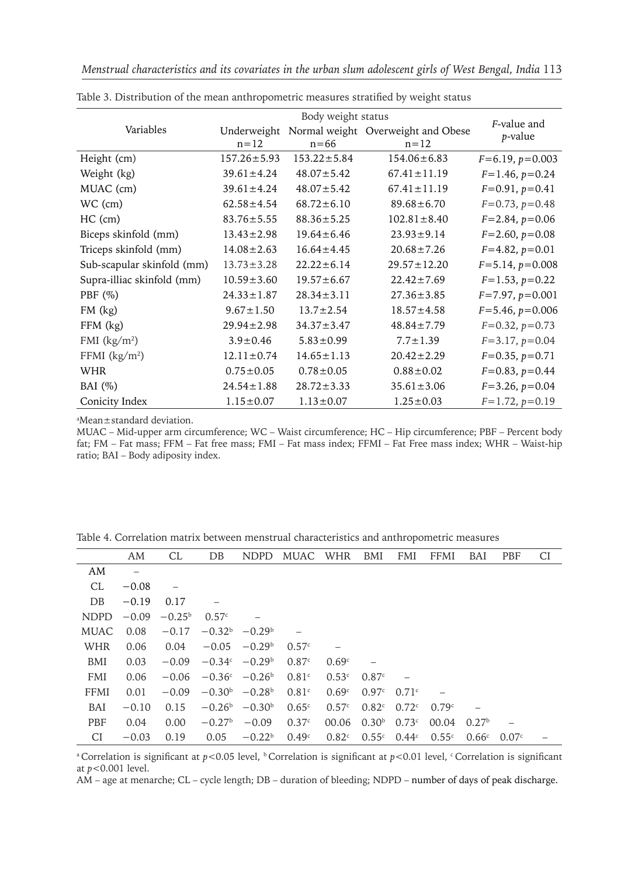|                            |                         | F-value and       |                                                |                       |  |
|----------------------------|-------------------------|-------------------|------------------------------------------------|-----------------------|--|
| Variables                  | Underweight<br>$n = 12$ | $n = 66$          | Normal weight Overweight and Obese<br>$n = 12$ | p-value               |  |
| Height (cm)                | $157.26 \pm 5.93$       | $153.22 \pm 5.84$ | $154.06 \pm 6.83$                              | $F=6.19, p=0.003$     |  |
| Weight (kg)                | $39.61 \pm 4.24$        | $48.07 \pm 5.42$  | $67.41 \pm 11.19$                              | $F=1.46, p=0.24$      |  |
| MUAC (cm)                  | $39.61 \pm 4.24$        | $48.07 \pm 5.42$  | $67.41 \pm 11.19$                              | $F=0.91, p=0.41$      |  |
| WC (cm)                    | $62.58 \pm 4.54$        | $68.72 \pm 6.10$  | $89.68 \pm 6.70$                               | $F=0.73, p=0.48$      |  |
| $HC$ (cm)                  | $83.76 \pm 5.55$        | $88.36 \pm 5.25$  | $102.81 \pm 8.40$                              | $F = 2.84, p = 0.06$  |  |
| Biceps skinfold (mm)       | $13.43 \pm 2.98$        | $19.64 \pm 6.46$  | $23.93 \pm 9.14$                               | $F=2.60, p=0.08$      |  |
| Triceps skinfold (mm)      | $14.08 \pm 2.63$        | $16.64 \pm 4.45$  | $20.68 \pm 7.26$                               | $F=4.82, p=0.01$      |  |
| Sub-scapular skinfold (mm) | $13.73 \pm 3.28$        | $22.22 \pm 6.14$  | $29.57 \pm 12.20$                              | $F = 5.14, p = 0.008$ |  |
| Supra-illiac skinfold (mm) | $10.59 \pm 3.60$        | $19.57 \pm 6.67$  | $22.42 \pm 7.69$                               | $F=1.53, p=0.22$      |  |
| PBF $(\%)$                 | $24.33 \pm 1.87$        | $28.34 \pm 3.11$  | $27.36 \pm 3.85$                               | $F=7.97, p=0.001$     |  |
| $FM$ $(kg)$                | $9.67 \pm 1.50$         | $13.7 \pm 2.54$   | $18.57 \pm 4.58$                               | $F = 5.46, p = 0.006$ |  |
| $FFM$ $(kg)$               | $29.94 \pm 2.98$        | $34.37 \pm 3.47$  | $48.84 \pm 7.79$                               | $F=0.32, p=0.73$      |  |
| FMI $(kg/m2)$              | $3.9 \pm 0.46$          | $5.83 \pm 0.99$   | $7.7 \pm 1.39$                                 | $F=3.17, p=0.04$      |  |
| FFMI $(kg/m2)$             | $12.11 \pm 0.74$        | $14.65 \pm 1.13$  | $20.42 \pm 2.29$                               | $F=0.35, p=0.71$      |  |
| <b>WHR</b>                 | $0.75 \pm 0.05$         | $0.78 \pm 0.05$   | $0.88 \pm 0.02$                                | $F=0.83, p=0.44$      |  |
| BAI $(\%)$                 | $24.54 \pm 1.88$        | $28.72 \pm 3.33$  | $35.61 \pm 3.06$                               | $F=3.26, p=0.04$      |  |
| Conicity Index             | $1.15 \pm 0.07$         | $1.13 \pm 0.07$   | $1.25 \pm 0.03$                                | $F=1.72, p=0.19$      |  |

Table 3. Distribution of the mean anthropometric measures stratified by weight status

<sup>a</sup>Mean±standard deviation.

MUAC – Mid-upper arm circumference; WC – Waist circumference; HC – Hip circumference; PBF – Percent body fat; FM – Fat mass; FFM – Fat free mass; FMI – Fat mass index; FFMI – Fat Free mass index; WHR – Waist-hip ratio; BAI – Body adiposity index.

|             | AM                | CL              | DB       | <b>NDPD</b>                     | MUAC              | WHR               | BMI               | <b>FMI</b> | <b>FFMI</b> | BAI               | <b>PBF</b> | CI |
|-------------|-------------------|-----------------|----------|---------------------------------|-------------------|-------------------|-------------------|------------|-------------|-------------------|------------|----|
| AM          | $\qquad \qquad -$ |                 |          |                                 |                   |                   |                   |            |             |                   |            |    |
| CL.         | $-0.08$           |                 |          |                                 |                   |                   |                   |            |             |                   |            |    |
| DB          | $-0.19$           | 0.17            |          |                                 |                   |                   |                   |            |             |                   |            |    |
| <b>NDPD</b> | $-0.09$           | $-0.25^{\rm b}$ | 0.57c    |                                 |                   |                   |                   |            |             |                   |            |    |
| MUAC.       | 0.08              | $-0.17$         |          | $-0.32b -0.29b$                 |                   |                   |                   |            |             |                   |            |    |
| WHR         | 0.06              | 0.04            | $-0.05$  | $-0.29b$                        | 0.57c             |                   |                   |            |             |                   |            |    |
| BMI         | 0.03              | $-0.09$         |          | $-0.34c -0.29b$                 | 0.87c             | 0.69 <sup>c</sup> |                   |            |             |                   |            |    |
| <b>FMI</b>  | 0.06              | $-0.06$         |          | $-0.36^{\circ}$ $-0.26^{\circ}$ | 0.81 <sup>c</sup> | 0.53c             | 0.87c             |            |             |                   |            |    |
| FFMI        | 0.01              | $-0.09$         |          | $-0.30^{\rm b}$ $-0.28^{\rm b}$ | 0.81 <sup>c</sup> | 0.69 <sup>c</sup> | 0.97c             | 0.71c      |             |                   |            |    |
| BAI         | $-0.10$           | 0.15            |          | $-0.26^{\rm b}$ $-0.30^{\rm b}$ | 0.65c             | 0.57c             | 0.82 <sup>c</sup> | 0.72c      | 0.79c       |                   |            |    |
| <b>PBF</b>  | 0.04              | 0.00            | $-0.27b$ | $-0.09$                         | 0.37c             | 00.06             | 0.30 <sup>b</sup> | 0.73c      | 00.04       | 0.27 <sup>b</sup> |            |    |
| СI          | $-0.03$           | 0.19            | 0.05     | $-0.22^b$                       | 0.49 <sup>c</sup> | 0.82c             | $0.55c$ $0.44c$   |            | 0.55c       | 0.66c             | 0.07c      |    |

Table 4. Correlation matrix between menstrual characteristics and anthropometric measures

<sup>a</sup> Correlation is significant at  $p$ <0.05 level, <sup>b</sup>Correlation is significant at  $p$ <0.01 level, <sup>c</sup>Correlation is significant at *p<*0.001 level.

AM – age at menarche; CL – cycle length; DB – duration of bleeding; NDPD – number of days of peak discharge.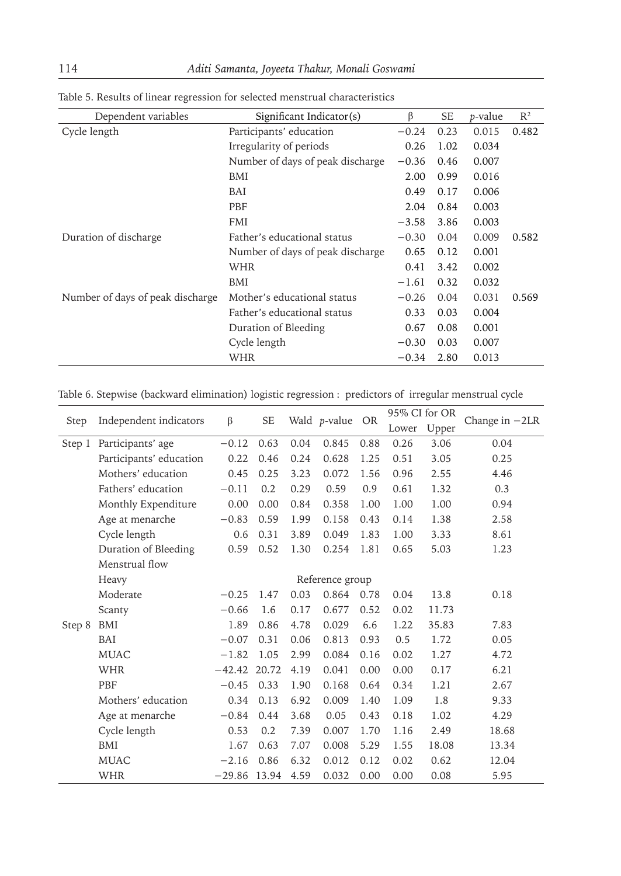| Dependent variables              | Significant Indicator(s)         | β       | <b>SE</b> | <i>p</i> -value | R <sup>2</sup> |
|----------------------------------|----------------------------------|---------|-----------|-----------------|----------------|
| Cycle length                     | Participants' education          | $-0.24$ | 0.23      | 0.015           | 0.482          |
|                                  | Irregularity of periods          | 0.26    | 1.02      | 0.034           |                |
|                                  | Number of days of peak discharge | $-0.36$ | 0.46      | 0.007           |                |
|                                  | BMI                              | 2.00    | 0.99      | 0.016           |                |
|                                  | BAI                              | 0.49    | 0.17      | 0.006           |                |
|                                  | PBF                              | 2.04    | 0.84      | 0.003           |                |
|                                  | <b>FMI</b>                       | $-3.58$ | 3.86      | 0.003           |                |
| Duration of discharge            | Father's educational status      | $-0.30$ | 0.04      | 0.009           | 0.582          |
|                                  | Number of days of peak discharge | 0.65    | 0.12      | 0.001           |                |
|                                  | WHR                              | 0.41    | 3.42      | 0.002           |                |
|                                  | BMI                              | $-1.61$ | 0.32      | 0.032           |                |
| Number of days of peak discharge | Mother's educational status      | $-0.26$ | 0.04      | 0.031           | 0.569          |
|                                  | Father's educational status      | 0.33    | 0.03      | 0.004           |                |
|                                  | Duration of Bleeding             | 0.67    | 0.08      | 0.001           |                |
|                                  | Cycle length                     | $-0.30$ | 0.03      | 0.007           |                |
|                                  | WHR                              | $-0.34$ | 2.80      | 0.013           |                |

Table 5. Results of linear regression for selected menstrual characteristics

Table 6. Stepwise (backward elimination) logistic regression : predictors of irregular menstrual cycle

| <b>Step</b> | Independent indicators   | β              | <b>SE</b> |      | Wald p-value OR |      | 95% CI for OR |       | Change in $-2LR$ |
|-------------|--------------------------|----------------|-----------|------|-----------------|------|---------------|-------|------------------|
|             |                          |                |           |      |                 |      | Lower         | Upper |                  |
| Step 1      | Participants' age        | $-0.12$        | 0.63      | 0.04 | 0.845           | 0.88 | 0.26          | 3.06  | 0.04             |
|             | Participants' education  | 0.22           | 0.46      | 0.24 | 0.628           | 1.25 | 0.51          | 3.05  | 0.25             |
|             | Mothers' education       | 0.45           | 0.25      | 3.23 | 0.072           | 1.56 | 0.96          | 2.55  | 4.46             |
|             | Fathers' education       | $-0.11$        | 0.2       | 0.29 | 0.59            | 0.9  | 0.61          | 1.32  | 0.3              |
|             | Monthly Expenditure      | 0.00           | 0.00      | 0.84 | 0.358           | 1.00 | 1.00          | 1.00  | 0.94             |
|             | Age at menarche          | $-0.83$        | 0.59      | 1.99 | 0.158           | 0.43 | 0.14          | 1.38  | 2.58             |
|             | Cycle length             | 0.6            | 0.31      | 3.89 | 0.049           | 1.83 | 1.00          | 3.33  | 8.61             |
|             | Duration of Bleeding     | 0.59           | 0.52      | 1.30 | 0.254           | 1.81 | 0.65          | 5.03  | 1.23             |
|             | Menstrual flow           |                |           |      |                 |      |               |       |                  |
|             | Reference group<br>Heavy |                |           |      |                 |      |               |       |                  |
|             | Moderate                 | $-0.25$        | 1.47      | 0.03 | 0.864           | 0.78 | 0.04          | 13.8  | 0.18             |
|             | Scanty                   | $-0.66$        | 1.6       | 0.17 | 0.677           | 0.52 | 0.02          | 11.73 |                  |
| Step 8      | BMI                      | 1.89           | 0.86      | 4.78 | 0.029           | 6.6  | 1.22          | 35.83 | 7.83             |
|             | BAI                      | $-0.07$        | 0.31      | 0.06 | 0.813           | 0.93 | 0.5           | 1.72  | 0.05             |
|             | <b>MUAC</b>              | $-1.82$        | 1.05      | 2.99 | 0.084           | 0.16 | 0.02          | 1.27  | 4.72             |
|             | <b>WHR</b>               | $-42.42$ 20.72 |           | 4.19 | 0.041           | 0.00 | 0.00          | 0.17  | 6.21             |
|             | PBF                      | $-0.45$        | 0.33      | 1.90 | 0.168           | 0.64 | 0.34          | 1.21  | 2.67             |
|             | Mothers' education       | 0.34           | 0.13      | 6.92 | 0.009           | 1.40 | 1.09          | 1.8   | 9.33             |
|             | Age at menarche          | $-0.84$        | 0.44      | 3.68 | 0.05            | 0.43 | 0.18          | 1.02  | 4.29             |
|             | Cycle length             | 0.53           | 0.2       | 7.39 | 0.007           | 1.70 | 1.16          | 2.49  | 18.68            |
|             | BMI                      | 1.67           | 0.63      | 7.07 | 0.008           | 5.29 | 1.55          | 18.08 | 13.34            |
|             | <b>MUAC</b>              | $-2.16$        | 0.86      | 6.32 | 0.012           | 0.12 | 0.02          | 0.62  | 12.04            |
|             | <b>WHR</b>               | $-29.86$ 13.94 |           | 4.59 | 0.032           | 0.00 | 0.00          | 0.08  | 5.95             |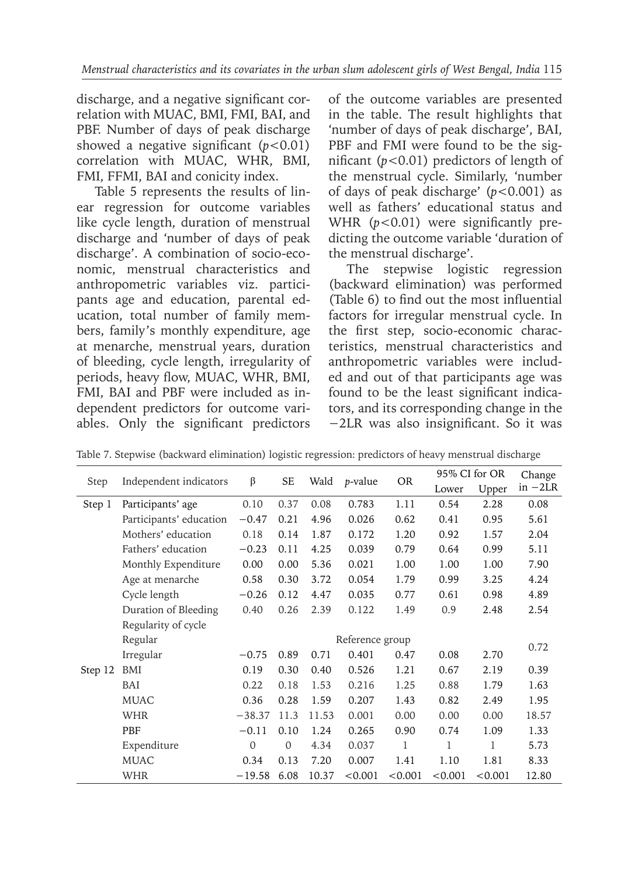discharge, and a negative significant correlation with MUAC, BMI, FMI, BAI, and PBF. Number of days of peak discharge showed a negative significant (*p<*0.01) correlation with MUAC, WHR, BMI, FMI, FFMI, BAI and conicity index.

Table 5 represents the results of linear regression for outcome variables like cycle length, duration of menstrual discharge and 'number of days of peak discharge'. A combination of socio-economic, menstrual characteristics and anthropometric variables viz. participants age and education, parental education, total number of family members, family's monthly expenditure, age at menarche, menstrual years, duration of bleeding, cycle length, irregularity of periods, heavy flow, MUAC, WHR, BMI, FMI, BAI and PBF were included as independent predictors for outcome variables. Only the significant predictors of the outcome variables are presented in the table. The result highlights that 'number of days of peak discharge', BAI, PBF and FMI were found to be the significant (*p<*0.01) predictors of length of the menstrual cycle. Similarly, 'number of days of peak discharge' (*p<*0.001) as well as fathers' educational status and WHR ( $p < 0.01$ ) were significantly predicting the outcome variable 'duration of the menstrual discharge'.

The stepwise logistic regression (backward elimination) was performed (Table 6) to find out the most influential factors for irregular menstrual cycle. In the first step, socio-economic characteristics, menstrual characteristics and anthropometric variables were included and out of that participants age was found to be the least significant indicators, and its corresponding change in the −2LR was also insignificant. So it was

|         |                         |              | SE              | Wald  |                 |           | 95% CI for OR |         | Change    |
|---------|-------------------------|--------------|-----------------|-------|-----------------|-----------|---------------|---------|-----------|
| Step    | Independent indicators  | β            |                 |       | <i>p</i> -value | <b>OR</b> | Lower         | Upper   | $in -2LR$ |
| Step 1  | Participants' age       | 0.10         | 0.37            | 0.08  | 0.783           | 1.11      | 0.54          | 2.28    | 0.08      |
|         | Participants' education | $-0.47$      | 0.21            | 4.96  | 0.026           | 0.62      | 0.41          | 0.95    | 5.61      |
|         | Mothers' education      | 0.18         | 0.14            | 1.87  | 0.172           | 1.20      | 0.92          | 1.57    | 2.04      |
|         | Fathers' education      | $-0.23$      | 0.11            | 4.25  | 0.039           | 0.79      | 0.64          | 0.99    | 5.11      |
|         | Monthly Expenditure     | 0.00         | 0.00            | 5.36  | 0.021           | 1.00      | 1.00          | 1.00    | 7.90      |
|         | Age at menarche         | 0.58         | 0.30            | 3.72  | 0.054           | 1.79      | 0.99          | 3.25    | 4.24      |
|         | Cycle length            | $-0.26$      | 0.12            | 4.47  | 0.035           | 0.77      | 0.61          | 0.98    | 4.89      |
|         | Duration of Bleeding    | 0.40         | 0.26            | 2.39  | 0.122           | 1.49      | 0.9           | 2.48    | 2.54      |
|         | Regularity of cycle     |              |                 |       |                 |           |               |         |           |
|         | Regular                 |              | Reference group |       |                 |           |               |         |           |
|         | Irregular               | $-0.75$      | 0.89            | 0.71  | 0.401           | 0.47      | 0.08          | 2.70    | 0.72      |
| Step 12 | BMI                     | 0.19         | 0.30            | 0.40  | 0.526           | 1.21      | 0.67          | 2.19    | 0.39      |
|         | BAI                     | 0.22         | 0.18            | 1.53  | 0.216           | 1.25      | 0.88          | 1.79    | 1.63      |
|         | <b>MUAC</b>             | 0.36         | 0.28            | 1.59  | 0.207           | 1.43      | 0.82          | 2.49    | 1.95      |
|         | <b>WHR</b>              | $-38.37$     | 11.3            | 11.53 | 0.001           | 0.00      | 0.00          | 0.00    | 18.57     |
|         | PBF                     | $-0.11$      | 0.10            | 1.24  | 0.265           | 0.90      | 0.74          | 1.09    | 1.33      |
|         | Expenditure             | $\mathbf{0}$ | 0               | 4.34  | 0.037           | 1         | 1             | 1       | 5.73      |
|         | <b>MUAC</b>             | 0.34         | 0.13            | 7.20  | 0.007           | 1.41      | 1.10          | 1.81    | 8.33      |
|         | <b>WHR</b>              | $-19.58$     | 6.08            | 10.37 | < 0.001         | < 0.001   | < 0.001       | < 0.001 | 12.80     |

Table 7. Stepwise (backward elimination) logistic regression: predictors of heavy menstrual discharge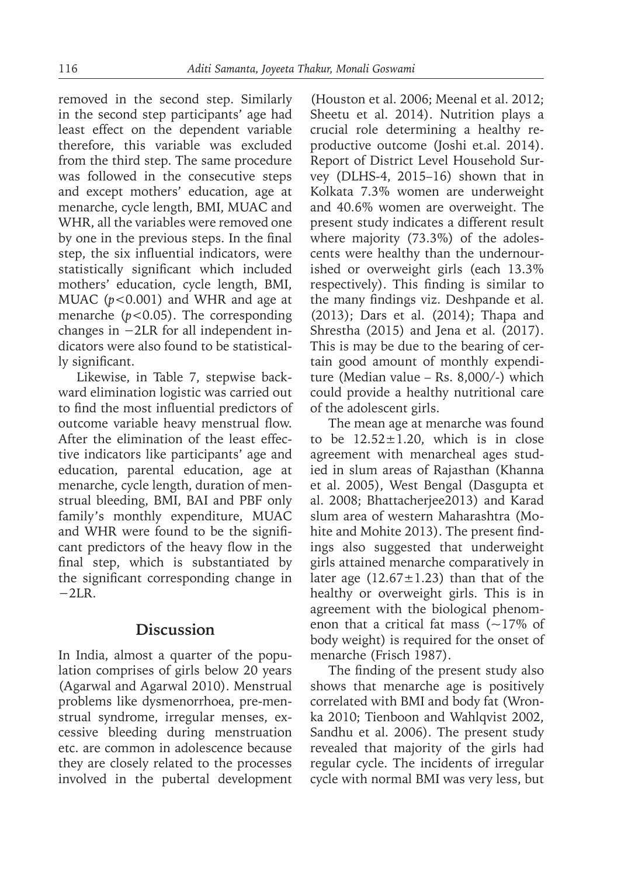removed in the second step. Similarly in the second step participants' age had least effect on the dependent variable therefore, this variable was excluded from the third step. The same procedure was followed in the consecutive steps and except mothers' education, age at menarche, cycle length, BMI, MUAC and WHR, all the variables were removed one by one in the previous steps. In the final step, the six influential indicators, were statistically significant which included mothers' education, cycle length, BMI, MUAC (*p<*0.001) and WHR and age at menarche (*p<*0.05). The corresponding changes in −2LR for all independent indicators were also found to be statistically significant.

Likewise, in Table 7, stepwise backward elimination logistic was carried out to find the most influential predictors of outcome variable heavy menstrual flow. After the elimination of the least effective indicators like participants' age and education, parental education, age at menarche, cycle length, duration of menstrual bleeding, BMI, BAI and PBF only family's monthly expenditure, MUAC and WHR were found to be the significant predictors of the heavy flow in the final step, which is substantiated by the significant corresponding change in  $-2LR$ .

### **Discussion**

In India, almost a quarter of the population comprises of girls below 20 years (Agarwal and Agarwal 2010). Menstrual problems like dysmenorrhoea, pre-menstrual syndrome, irregular menses, excessive bleeding during menstruation etc. are common in adolescence because they are closely related to the processes involved in the pubertal development

(Houston et al. 2006; Meenal et al. 2012; Sheetu et al. 2014). Nutrition plays a crucial role determining a healthy reproductive outcome (Joshi et.al. 2014). Report of District Level Household Survey (DLHS-4, 2015–16) shown that in Kolkata 7.3% women are underweight and 40.6% women are overweight. The present study indicates a different result where majority (73.3%) of the adolescents were healthy than the undernourished or overweight girls (each 13.3% respectively). This finding is similar to the many findings viz. Deshpande et al. (2013); Dars et al. (2014); Thapa and Shrestha (2015) and Jena et al. (2017). This is may be due to the bearing of certain good amount of monthly expenditure (Median value – Rs. 8,000/-) which could provide a healthy nutritional care of the adolescent girls.

The mean age at menarche was found to be  $12.52 \pm 1.20$ , which is in close agreement with menarcheal ages studied in slum areas of Rajasthan (Khanna et al. 2005), West Bengal (Dasgupta et al. 2008; Bhattacherjee2013) and Karad slum area of western Maharashtra (Mohite and Mohite 2013). The present findings also suggested that underweight girls attained menarche comparatively in later age  $(12.67 \pm 1.23)$  than that of the healthy or overweight girls. This is in agreement with the biological phenomenon that a critical fat mass  $(-17\% \text{ of }$ body weight) is required for the onset of menarche (Frisch 1987).

The finding of the present study also shows that menarche age is positively correlated with BMI and body fat (Wronka 2010; Tienboon and Wahlqvist 2002, Sandhu et al. 2006). The present study revealed that majority of the girls had regular cycle. The incidents of irregular cycle with normal BMI was very less, but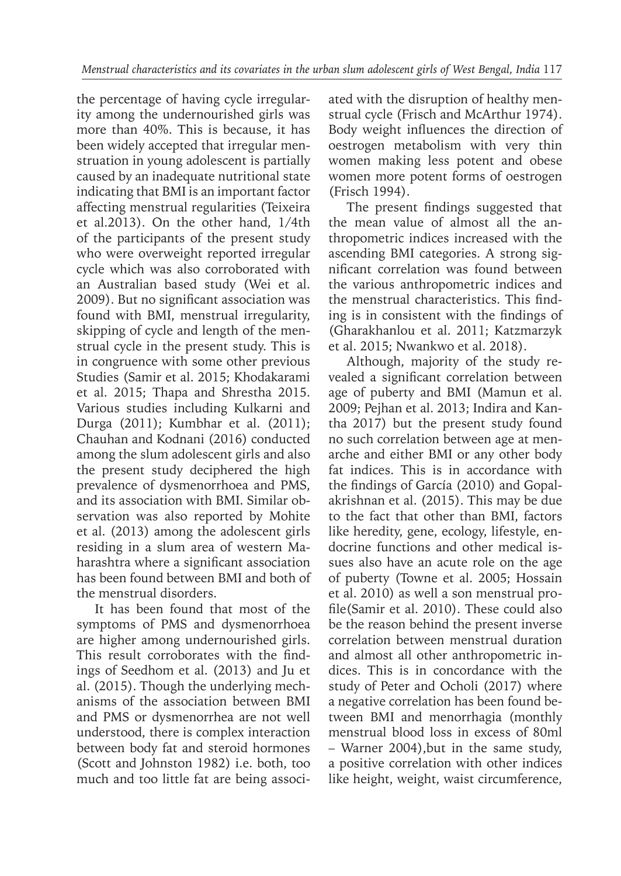the percentage of having cycle irregularity among the undernourished girls was more than 40%. This is because, it has been widely accepted that irregular menstruation in young adolescent is partially caused by an inadequate nutritional state indicating that BMI is an important factor affecting menstrual regularities (Teixeira et al.2013). On the other hand, 1/4th of the participants of the present study who were overweight reported irregular cycle which was also corroborated with an Australian based study (Wei et al. 2009). But no significant association was found with BMI, menstrual irregularity, skipping of cycle and length of the menstrual cycle in the present study. This is in congruence with some other previous Studies (Samir et al. 2015; Khodakarami et al. 2015; Thapa and Shrestha 2015. Various studies including Kulkarni and Durga (2011); Kumbhar et al. (2011); Chauhan and Kodnani (2016) conducted among the slum adolescent girls and also the present study deciphered the high prevalence of dysmenorrhoea and PMS, and its association with BMI. Similar observation was also reported by Mohite et al. (2013) among the adolescent girls residing in a slum area of western Maharashtra where a significant association has been found between BMI and both of the menstrual disorders.

It has been found that most of the symptoms of PMS and dysmenorrhoea are higher among undernourished girls. This result corroborates with the findings of Seedhom et al. (2013) and Ju et al. (2015). Though the underlying mechanisms of the association between BMI and PMS or dysmenorrhea are not well understood, there is complex interaction between body fat and steroid hormones (Scott and Johnston 1982) i.e. both, too much and too little fat are being associated with the disruption of healthy menstrual cycle (Frisch and McArthur 1974). Body weight influences the direction of oestrogen metabolism with very thin women making less potent and obese women more potent forms of oestrogen (Frisch 1994).

The present findings suggested that the mean value of almost all the anthropometric indices increased with the ascending BMI categories. A strong significant correlation was found between the various anthropometric indices and the menstrual characteristics. This finding is in consistent with the findings of (Gharakhanlou et al. 2011; Katzmarzyk et al. 2015; Nwankwo et al. 2018).

Although, majority of the study revealed a significant correlation between age of puberty and BMI (Mamun et al. 2009; Pejhan et al. 2013; Indira and Kantha 2017) but the present study found no such correlation between age at menarche and either BMI or any other body fat indices. This is in accordance with the findings of García (2010) and Gopalakrishnan et al. (2015). This may be due to the fact that other than BMI, factors like heredity, gene, ecology, lifestyle, endocrine functions and other medical issues also have an acute role on the age of puberty (Towne et al. 2005; Hossain et al. 2010) as well a son menstrual profile(Samir et al. 2010). These could also be the reason behind the present inverse correlation between menstrual duration and almost all other anthropometric indices. This is in concordance with the study of Peter and Ocholi (2017) where a negative correlation has been found between BMI and menorrhagia (monthly menstrual blood loss in excess of 80ml – Warner 2004),but in the same study, a positive correlation with other indices like height, weight, waist circumference,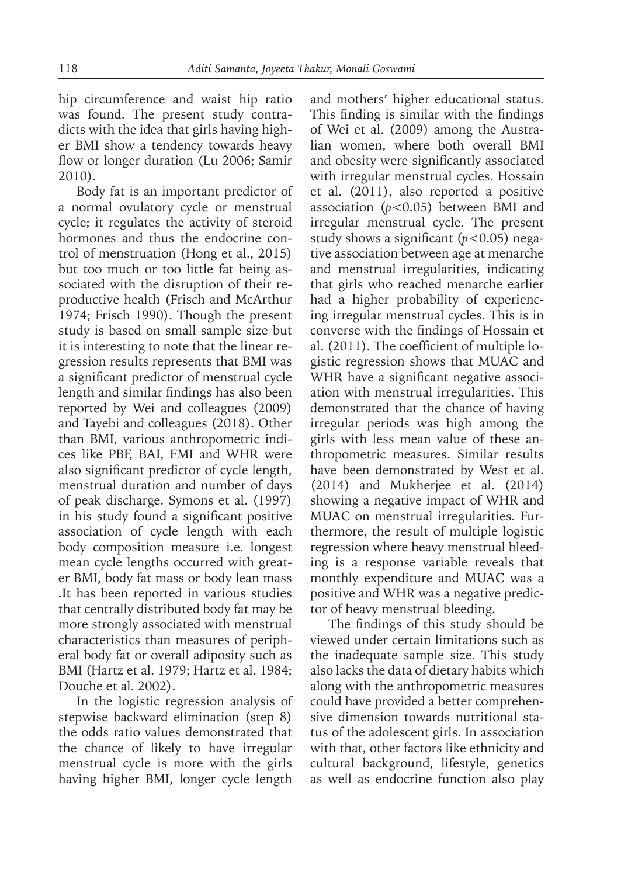hip circumference and waist hip ratio was found. The present study contradicts with the idea that girls having higher BMI show a tendency towards heavy flow or longer duration (Lu 2006; Samir 2010).

Body fat is an important predictor of a normal ovulatory cycle or menstrual cycle; it regulates the activity of steroid hormones and thus the endocrine control of menstruation (Hong et al., 2015) but too much or too little fat being associated with the disruption of their reproductive health (Frisch and McArthur 1974; Frisch 1990). Though the present study is based on small sample size but it is interesting to note that the linear regression results represents that BMI was a significant predictor of menstrual cycle length and similar findings has also been reported by Wei and colleagues (2009) and Tayebi and colleagues (2018). Other than BMI, various anthropometric indices like PBF, BAI, FMI and WHR were also significant predictor of cycle length, menstrual duration and number of days of peak discharge. Symons et al. (1997) in his study found a significant positive association of cycle length with each body composition measure i.e. longest mean cycle lengths occurred with greater BMI, body fat mass or body lean mass .It has been reported in various studies that centrally distributed body fat may be more strongly associated with menstrual characteristics than measures of peripheral body fat or overall adiposity such as BMI (Hartz et al. 1979; Hartz et al. 1984; Douche et al. 2002).

In the logistic regression analysis of stepwise backward elimination (step 8) the odds ratio values demonstrated that the chance of likely to have irregular menstrual cycle is more with the girls having higher BMI, longer cycle length and mothers' higher educational status. This finding is similar with the findings of Wei et al. (2009) among the Australian women, where both overall BMI and obesity were significantly associated with irregular menstrual cycles. Hossain et al. (2011), also reported a positive association (*p<*0.05) between BMI and irregular menstrual cycle. The present study shows a significant (*p<*0.05) negative association between age at menarche and menstrual irregularities, indicating that girls who reached menarche earlier had a higher probability of experiencing irregular menstrual cycles. This is in converse with the findings of Hossain et al. (2011). The coefficient of multiple logistic regression shows that MUAC and WHR have a significant negative association with menstrual irregularities. This demonstrated that the chance of having irregular periods was high among the girls with less mean value of these anthropometric measures. Similar results have been demonstrated by West et al. (2014) and Mukherjee et al. (2014) showing a negative impact of WHR and MUAC on menstrual irregularities. Furthermore, the result of multiple logistic regression where heavy menstrual bleeding is a response variable reveals that monthly expenditure and MUAC was a positive and WHR was a negative predictor of heavy menstrual bleeding.

The findings of this study should be viewed under certain limitations such as the inadequate sample size. This study also lacks the data of dietary habits which along with the anthropometric measures could have provided a better comprehensive dimension towards nutritional status of the adolescent girls. In association with that, other factors like ethnicity and cultural background, lifestyle, genetics as well as endocrine function also play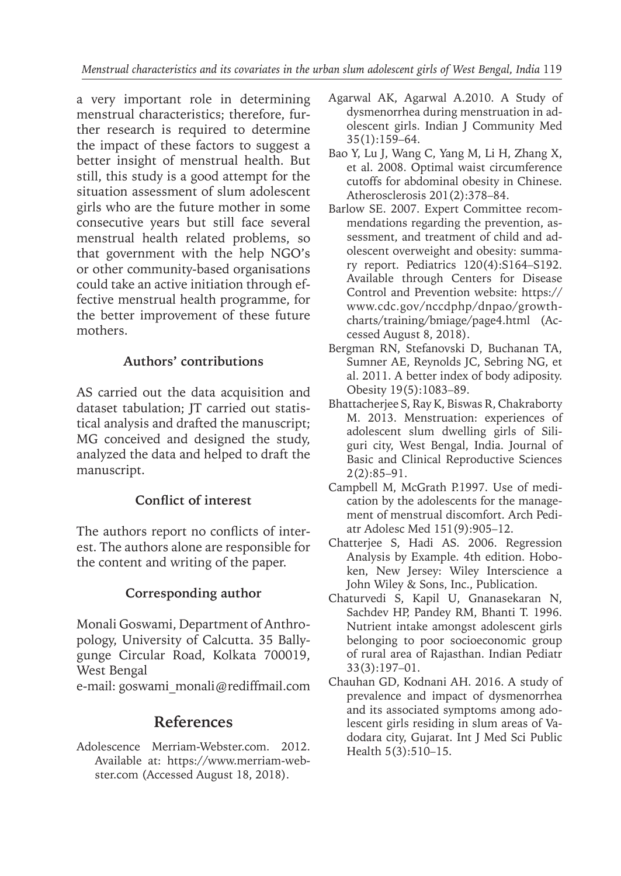a very important role in determining menstrual characteristics; therefore, further research is required to determine the impact of these factors to suggest a better insight of menstrual health. But still, this study is a good attempt for the situation assessment of slum adolescent girls who are the future mother in some consecutive years but still face several menstrual health related problems, so that government with the help NGO's or other community-based organisations could take an active initiation through effective menstrual health programme, for the better improvement of these future mothers.

## **Authors' contributions**

AS carried out the data acquisition and dataset tabulation; JT carried out statistical analysis and drafted the manuscript; MG conceived and designed the study, analyzed the data and helped to draft the manuscript.

## **Conflict of interest**

The authors report no conflicts of interest. The authors alone are responsible for the content and writing of the paper.

## **Corresponding author**

Monali Goswami, Department of Anthropology, University of Calcutta. 35 Ballygunge Circular Road, Kolkata 700019, West Bengal

e-mail: goswami\_monali@rediffmail.com

# **References**

Adolescence Merriam-Webster.com. 2012. Available at: https://www.merriam-webster.com (Accessed August 18, 2018).

- Agarwal AK, Agarwal A.2010. A Study of dysmenorrhea during menstruation in adolescent girls. Indian J Community Med 35(1):159–64.
- Bao Y, Lu J, Wang C, Yang M, Li H, Zhang X, et al. 2008. Optimal waist circumference cutoffs for abdominal obesity in Chinese. Atherosclerosis 201(2):378–84.
- Barlow SE. 2007. Expert Committee recommendations regarding the prevention, assessment, and treatment of child and adolescent overweight and obesity: summary report. Pediatrics 120(4):S164–S192. Available through Centers for Disease Control and Prevention website: https:// www.cdc.gov/nccdphp/dnpao/growthcharts/training/bmiage/page4.html (Accessed August 8, 2018).
- Bergman RN, Stefanovski D, Buchanan TA, Sumner AE, Reynolds JC, Sebring NG, et al. 2011. A better index of body adiposity. Obesity 19(5):1083–89.
- Bhattacherjee S, Ray K, Biswas R, Chakraborty M. 2013. Menstruation: experiences of adolescent slum dwelling girls of Siliguri city, West Bengal, India. Journal of Basic and Clinical Reproductive Sciences 2(2):85–91.
- Campbell M, McGrath P.1997. Use of medication by the adolescents for the management of menstrual discomfort. Arch Pediatr Adolesc Med 151(9):905–12.
- Chatterjee S, Hadi AS. 2006. Regression Analysis by Example. 4th edition. Hoboken, New Jersey: Wiley Interscience a John Wiley & Sons, Inc., Publication.
- Chaturvedi S, Kapil U, Gnanasekaran N, Sachdev HP, Pandey RM, Bhanti T. 1996. Nutrient intake amongst adolescent girls belonging to poor socioeconomic group of rural area of Rajasthan. Indian Pediatr 33(3):197–01.
- Chauhan GD, Kodnani AH. 2016. A study of prevalence and impact of dysmenorrhea and its associated symptoms among adolescent girls residing in slum areas of Vadodara city, Gujarat. Int J Med Sci Public Health 5(3):510–15.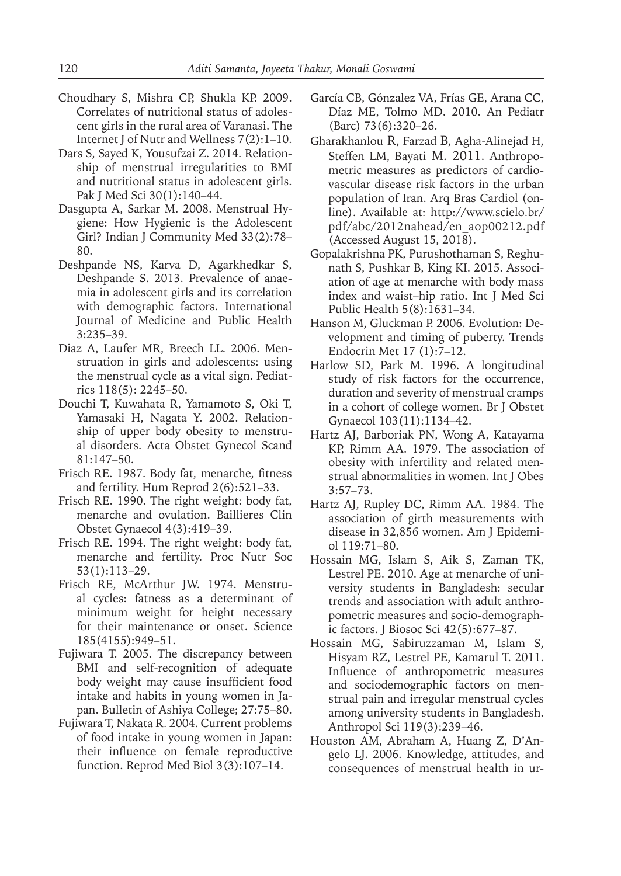- Choudhary S, Mishra CP, Shukla KP. 2009. Correlates of nutritional status of adolescent girls in the rural area of Varanasi. The Internet J of Nutr and Wellness 7(2):1–10.
- Dars S, Sayed K, Yousufzai Z. 2014. Relationship of menstrual irregularities to BMI and nutritional status in adolescent girls. Pak J Med Sci 30(1):140–44.
- Dasgupta A, Sarkar M. 2008. Menstrual Hygiene: How Hygienic is the Adolescent Girl? Indian J Community Med 33(2):78– 80.
- Deshpande NS, Karva D, Agarkhedkar S, Deshpande S. 2013. Prevalence of anaemia in adolescent girls and its correlation with demographic factors. International Journal of Medicine and Public Health 3:235–39.
- Diaz A, Laufer MR, Breech LL. 2006. Menstruation in girls and adolescents: using the menstrual cycle as a vital sign. Pediatrics 118(5): 2245–50.
- Douchi T, Kuwahata R, Yamamoto S, Oki T, Yamasaki H, Nagata Y. 2002. Relationship of upper body obesity to menstrual disorders. Acta Obstet Gynecol Scand 81:147–50.
- Frisch RE. 1987. Body fat, menarche, fitness and fertility. Hum Reprod 2(6):521–33.
- Frisch RE. 1990. The right weight: body fat, menarche and ovulation. Baillieres Clin Obstet Gynaecol 4(3):419–39.
- Frisch RE. 1994. The right weight: body fat, menarche and fertility. Proc Nutr Soc 53(1):113–29.
- Frisch RE, McArthur JW. 1974. Menstrual cycles: fatness as a determinant of minimum weight for height necessary for their maintenance or onset. Science 185(4155):949–51.
- Fujiwara T. 2005. The discrepancy between BMI and self-recognition of adequate body weight may cause insufficient food intake and habits in young women in Japan. Bulletin of Ashiya College; 27:75–80.
- Fujiwara T, Nakata R. 2004. Current problems of food intake in young women in Japan: their influence on female reproductive function. Reprod Med Biol 3(3):107–14.
- García CB, Gónzalez VA, Frías GE, Arana CC, Díaz ME, Tolmo MD. 2010. An Pediatr (Barc) 73(6):320–26.
- Gharakhanlou R, Farzad B, Agha-Alinejad H, Steffen LM, Bayati M. 2011. Anthropometric measures as predictors of cardiovascular disease risk factors in the urban population of Iran. Arq Bras Cardiol (online). Available at: http://www.scielo.br/ pdf/abc/2012nahead/en\_aop00212.pdf (Accessed August 15, 2018).
- Gopalakrishna PK, Purushothaman S, Reghunath S, Pushkar B, King KI. 2015. Association of age at menarche with body mass index and waist–hip ratio. Int J Med Sci Public Health 5(8):1631–34.
- Hanson M, Gluckman P. 2006. Evolution: Development and timing of puberty. Trends Endocrin Met 17 (1):7–12.
- Harlow SD, Park M. 1996. A longitudinal study of risk factors for the occurrence, duration and severity of menstrual cramps in a cohort of college women. Br J Obstet Gynaecol 103(11):1134–42.
- Hartz AJ, Barboriak PN, Wong A, Katayama KP, Rimm AA. 1979. The association of obesity with infertility and related menstrual abnormalities in women. Int J Obes 3:57–73.
- Hartz AJ, Rupley DC, Rimm AA. 1984. The association of girth measurements with disease in 32,856 women. Am J Epidemiol 119:71–80.
- Hossain MG, Islam S, Aik S, Zaman TK, Lestrel PE. 2010. Age at menarche of university students in Bangladesh: secular trends and association with adult anthropometric measures and socio-demographic factors. J Biosoc Sci 42(5):677–87.
- Hossain MG, Sabiruzzaman M, Islam S, Hisyam RZ, Lestrel PE, Kamarul T. 2011. Influence of anthropometric measures and sociodemographic factors on menstrual pain and irregular menstrual cycles among university students in Bangladesh. Anthropol Sci 119(3):239–46.
- Houston AM, Abraham A, Huang Z, D'Angelo LJ. 2006. Knowledge, attitudes, and consequences of menstrual health in ur-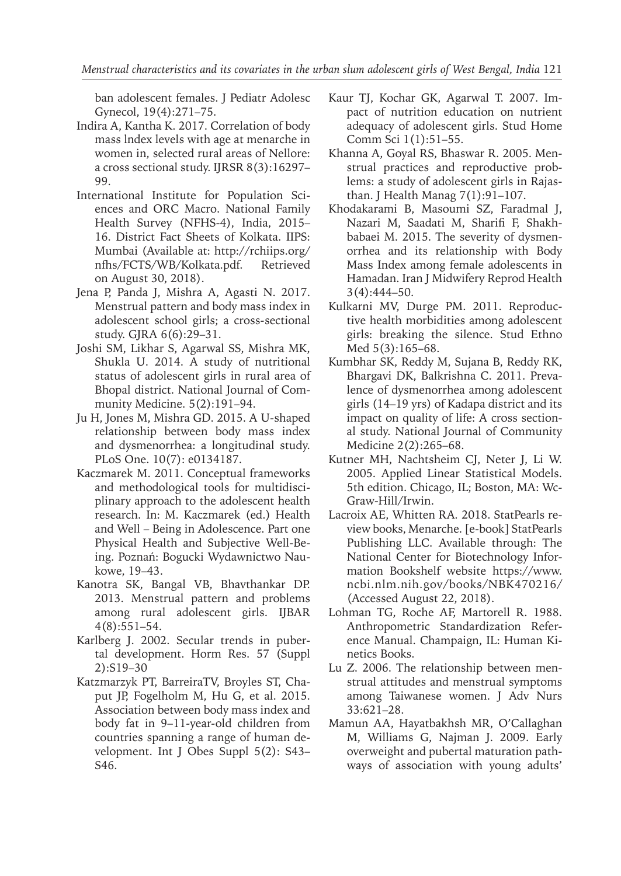ban adolescent females. J Pediatr Adolesc Gynecol, 19(4):271–75.

- Indira A, Kantha K. 2017. Correlation of body mass lndex levels with age at menarche in women in, selected rural areas of Nellore: a cross sectional study. IJRSR 8(3):16297– 99.
- International Institute for Population Sciences and ORC Macro. National Family Health Survey (NFHS-4), India, 2015– 16. District Fact Sheets of Kolkata. IIPS: Mumbai (Available at: http://rchiips.org/ nfhs/FCTS/WB/Kolkata.pdf. Retrieved on August 30, 2018).
- Jena P, Panda J, Mishra A, Agasti N. 2017. Menstrual pattern and body mass index in adolescent school girls; a cross-sectional study. GJRA 6(6):29–31.
- Joshi SM, Likhar S, Agarwal SS, Mishra MK, Shukla U. 2014. A study of nutritional status of adolescent girls in rural area of Bhopal district. National Journal of Community Medicine. 5(2):191–94.
- Ju H, Jones M, Mishra GD. 2015. A U-shaped relationship between body mass index and dysmenorrhea: a longitudinal study. PLoS One. 10(7): e0134187.
- Kaczmarek M. 2011. Conceptual frameworks and methodological tools for multidisciplinary approach to the adolescent health research. In: M. Kaczmarek (ed.) Health and Well – Being in Adolescence. Part one Physical Health and Subjective Well-Being. Poznań: Bogucki Wydawnictwo Naukowe, 19–43.
- Kanotra SK, Bangal VB, Bhavthankar DP. 2013. Menstrual pattern and problems among rural adolescent girls. IJBAR 4(8):551–54.
- Karlberg J. 2002. Secular trends in pubertal development. Horm Res. 57 (Suppl 2):S19–30
- Katzmarzyk PT, BarreiraTV, Broyles ST, Chaput JP, Fogelholm M, Hu G, et al. 2015. Association between body mass index and body fat in 9–11-year-old children from countries spanning a range of human development. Int J Obes Suppl 5(2): S43– S46.
- Kaur TJ, Kochar GK, Agarwal T. 2007. Impact of nutrition education on nutrient adequacy of adolescent girls. Stud Home Comm Sci 1(1):51–55.
- Khanna A, Goyal RS, Bhaswar R. 2005. Menstrual practices and reproductive problems: a study of adolescent girls in Rajasthan. J Health Manag 7(1):91–107.
- Khodakarami B, Masoumi SZ, Faradmal J, Nazari M, Saadati M, Sharifi F, Shakhbabaei M. 2015. The severity of dysmenorrhea and its relationship with Body Mass Index among female adolescents in Hamadan. Iran J Midwifery Reprod Health 3(4):444–50.
- Kulkarni MV, Durge PM. 2011. Reproductive health morbidities among adolescent girls: breaking the silence. Stud Ethno Med 5(3):165–68.
- Kumbhar SK, Reddy M, Sujana B, Reddy RK, Bhargavi DK, Balkrishna C. 2011. Prevalence of dysmenorrhea among adolescent girls (14–19 yrs) of Kadapa district and its impact on quality of life: A cross sectional study. National Journal of Community Medicine 2(2):265–68.
- Kutner MH, Nachtsheim CJ, Neter J, Li W. 2005. Applied Linear Statistical Models. 5th edition. Chicago, IL; Boston, MA: Wc-Graw-Hill/Irwin.
- Lacroix AE, Whitten RA*.* 2018. StatPearls review books, Menarche. [e-book] StatPearls Publishing LLC. Available through: The National Center for Biotechnology Information Bookshelf website https://www. ncbi.nlm.nih.gov/books/NBK470216/ (Accessed August 22, 2018).
- Lohman TG, Roche AF, Martorell R. 1988. Anthropometric Standardization Reference Manual. Champaign, IL: Human Kinetics Books.
- Lu Z. 2006. The relationship between menstrual attitudes and menstrual symptoms among Taiwanese women. J Adv Nurs 33:621–28.
- Mamun AA, Hayatbakhsh MR, O'Callaghan M, Williams G, Najman J. 2009. Early overweight and pubertal maturation pathways of association with young adults'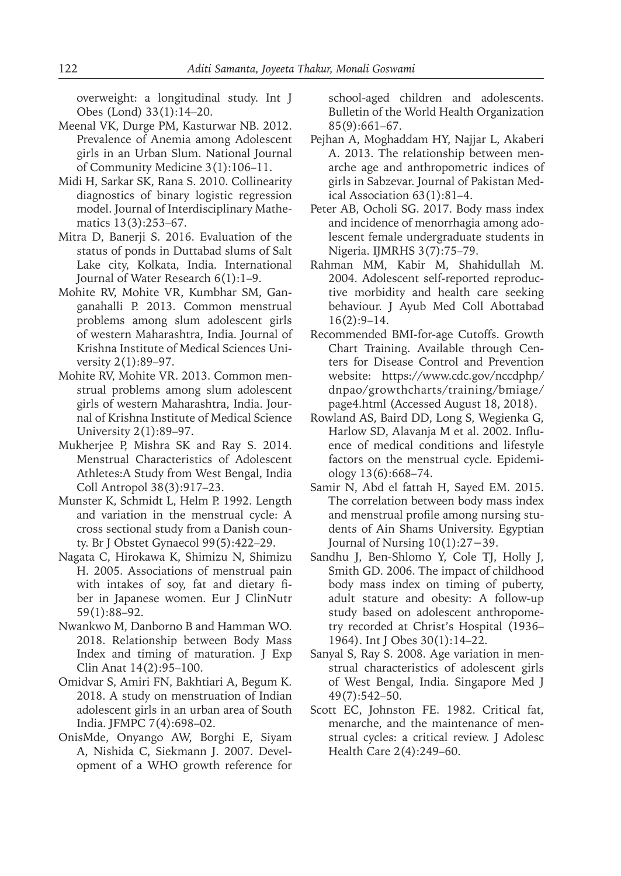overweight: a longitudinal study. Int J Obes (Lond) 33(1):14–20.

- Meenal VK, Durge PM, Kasturwar NB. 2012. Prevalence of Anemia among Adolescent girls in an Urban Slum. National Journal of Community Medicine 3(1):106–11.
- Midi H, Sarkar SK, Rana S. 2010. Collinearity diagnostics of binary logistic regression model. Journal of Interdisciplinary Mathematics 13(3):253–67.
- Mitra D, Banerji S. 2016. Evaluation of the status of ponds in Duttabad slums of Salt Lake city, Kolkata, India. International Journal of Water Research 6(1):1–9.
- Mohite RV, Mohite VR, Kumbhar SM, Ganganahalli P. 2013. Common menstrual problems among slum adolescent girls of western Maharashtra, India. Journal of Krishna Institute of Medical Sciences University 2(1):89–97.
- Mohite RV, Mohite VR. 2013. Common menstrual problems among slum adolescent girls of western Maharashtra, India. Journal of Krishna Institute of Medical Science University 2(1):89–97.
- Mukherjee P, Mishra SK and Ray S. 2014. Menstrual Characteristics of Adolescent Athletes:A Study from West Bengal, India Coll Antropol 38(3):917–23.
- Munster K, Schmidt L, Helm P. 1992. Length and variation in the menstrual cycle: A cross sectional study from a Danish county. Br J Obstet Gynaecol 99(5):422–29.
- Nagata C, Hirokawa K, Shimizu N, Shimizu H. 2005. Associations of menstrual pain with intakes of soy, fat and dietary fiber in Japanese women. Eur J ClinNutr 59(1):88–92.
- Nwankwo M, Danborno B and Hamman WO. 2018. Relationship between Body Mass Index and timing of maturation. J Exp Clin Anat 14(2):95–100.
- Omidvar S, Amiri FN, Bakhtiari A, Begum K. 2018. A study on menstruation of Indian adolescent girls in an urban area of South India. JFMPC 7(4):698–02.
- OnisMde, Onyango AW, Borghi E, Siyam A, Nishida C, Siekmann J. 2007. Development of a WHO growth reference for

school-aged children and adolescents. Bulletin of the World Health Organization 85(9):661–67.

- Pejhan A, Moghaddam HY, Najjar L, Akaberi A. 2013. The relationship between menarche age and anthropometric indices of girls in Sabzevar. Journal of Pakistan Medical Association 63(1):81–4.
- Peter AB, Ocholi SG. 2017. Body mass index and incidence of menorrhagia among adolescent female undergraduate students in Nigeria. IJMRHS 3(7):75–79.
- Rahman MM, Kabir M, Shahidullah M. 2004. Adolescent self-reported reproductive morbidity and health care seeking behaviour. J Ayub Med Coll Abottabad 16(2):9–14.
- Recommended BMI-for-age Cutoffs. Growth Chart Training. Available through Centers for Disease Control and Prevention website: https://www.cdc.gov/nccdphp/ dnpao/growthcharts/training/bmiage/ page4.html (Accessed August 18, 2018).
- Rowland AS, Baird DD, Long S, Wegienka G, Harlow SD, Alavanja M et al. 2002. Influence of medical conditions and lifestyle factors on the menstrual cycle. Epidemiology 13(6):668–74.
- Samir N, Abd el fattah H, Sayed EM. 2015. The correlation between body mass index and menstrual profile among nursing students of Ain Shams University. Egyptian Journal of Nursing 10(1):27−39.
- Sandhu J, Ben-Shlomo Y, Cole TJ, Holly J, Smith GD. 2006. The impact of childhood body mass index on timing of puberty, adult stature and obesity: A follow-up study based on adolescent anthropometry recorded at Christ's Hospital (1936– 1964). Int J Obes 30(1):14–22.
- Sanyal S, Ray S. 2008. Age variation in menstrual characteristics of adolescent girls of West Bengal, India. Singapore Med J 49(7):542–50.
- Scott EC, Johnston FE. 1982. Critical fat, menarche, and the maintenance of menstrual cycles: a critical review. J Adolesc Health Care 2(4):249–60.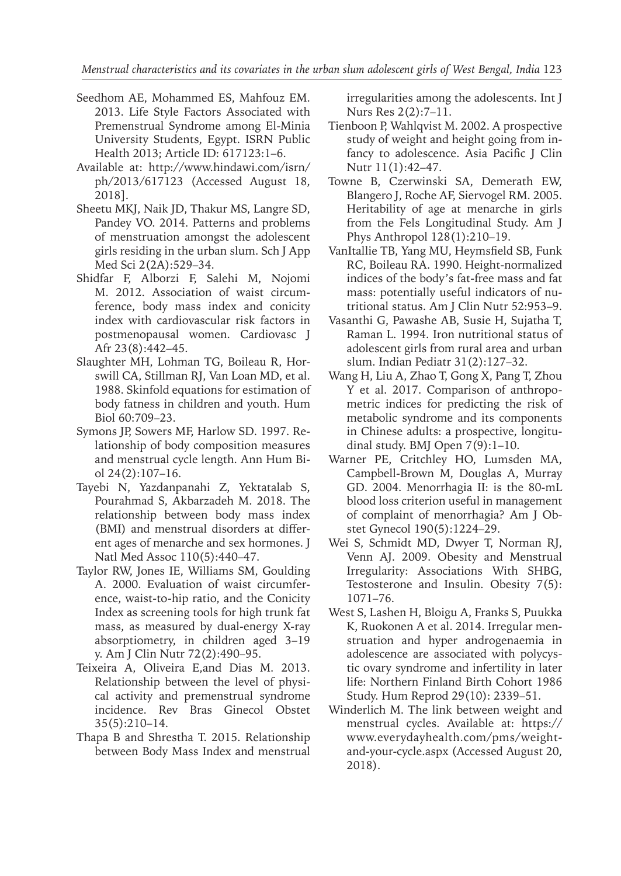- Seedhom AE, Mohammed ES, Mahfouz EM. 2013. Life Style Factors Associated with Premenstrual Syndrome among El-Minia University Students, Egypt. ISRN Public Health 2013; Article ID: 617123:1–6.
- Available at: http://www.hindawi.com/isrn/ ph/2013/617123 (Accessed August 18, 2018].
- Sheetu MKJ, Naik JD, Thakur MS, Langre SD, Pandey VO. 2014. Patterns and problems of menstruation amongst the adolescent girls residing in the urban slum. Sch J App Med Sci 2(2A):529–34.
- Shidfar F, Alborzi F, Salehi M, Nojomi M. 2012. Association of waist circumference, body mass index and conicity index with cardiovascular risk factors in postmenopausal women. Cardiovasc J Afr 23(8):442–45.
- Slaughter MH, Lohman TG, Boileau R, Horswill CA, Stillman RJ, Van Loan MD, et al. 1988. Skinfold equations for estimation of body fatness in children and youth. Hum Biol 60:709–23.
- Symons JP, Sowers MF, Harlow SD. 1997. Relationship of body composition measures and menstrual cycle length. Ann Hum Biol 24(2):107–16.
- Tayebi N, Yazdanpanahi Z, Yektatalab S, Pourahmad S, Akbarzadeh M. 2018. The relationship between body mass index (BMI) and menstrual disorders at different ages of menarche and sex hormones. J Natl Med Assoc 110(5):440–47.
- Taylor RW, Jones IE, Williams SM, Goulding A. 2000. Evaluation of waist circumference, waist-to-hip ratio, and the Conicity Index as screening tools for high trunk fat mass, as measured by dual-energy X-ray absorptiometry, in children aged 3–19 y. Am J Clin Nutr 72(2):490–95.
- Teixeira A, Oliveira E,and Dias M. 2013. Relationship between the level of physical activity and premenstrual syndrome incidence. Rev Bras Ginecol Obstet 35(5):210–14.
- Thapa B and Shrestha T. 2015. Relationship between Body Mass Index and menstrual

irregularities among the adolescents. Int J Nurs Res 2(2):7–11.

- Tienboon P, Wahlqvist M. 2002. A prospective study of weight and height going from infancy to adolescence. Asia Pacific J Clin Nutr 11(1):42–47.
- Towne B, Czerwinski SA, Demerath EW, Blangero J, Roche AF, Siervogel RM. 2005. Heritability of age at menarche in girls from the Fels Longitudinal Study. Am J Phys Anthropol 128(1):210–19.
- VanItallie TB, Yang MU, Heymsfield SB, Funk RC, Boileau RA. 1990. Height-normalized indices of the body's fat-free mass and fat mass: potentially useful indicators of nutritional status. Am J Clin Nutr 52:953–9.
- Vasanthi G, Pawashe AB, Susie H, Sujatha T, Raman L. 1994. Iron nutritional status of adolescent girls from rural area and urban slum. Indian Pediatr 31(2):127–32.
- Wang H, Liu A, Zhao T, Gong X, Pang T, Zhou Y et al. 2017. Comparison of anthropometric indices for predicting the risk of metabolic syndrome and its components in Chinese adults: a prospective, longitudinal study. BMJ Open 7(9):1–10.
- Warner PE, Critchley HO, Lumsden MA, Campbell-Brown M, Douglas A, Murray GD. 2004. Menorrhagia II: is the 80-mL blood loss criterion useful in management of complaint of menorrhagia? Am J Obstet Gynecol 190(5):1224–29.
- Wei S, Schmidt MD, Dwyer T, Norman RJ, Venn AJ. 2009. Obesity and Menstrual Irregularity: Associations With SHBG, Testosterone and Insulin. Obesity 7(5): 1071–76.
- West S, Lashen H, Bloigu A, Franks S, Puukka K, Ruokonen A et al. 2014. Irregular menstruation and hyper androgenaemia in adolescence are associated with polycystic ovary syndrome and infertility in later life: Northern Finland Birth Cohort 1986 Study. Hum Reprod 29(10): 2339–51.
- Winderlich M. The link between weight and menstrual cycles. Available at: https:// www.everydayhealth.com/pms/weightand-your-cycle.aspx (Accessed August 20, 2018).